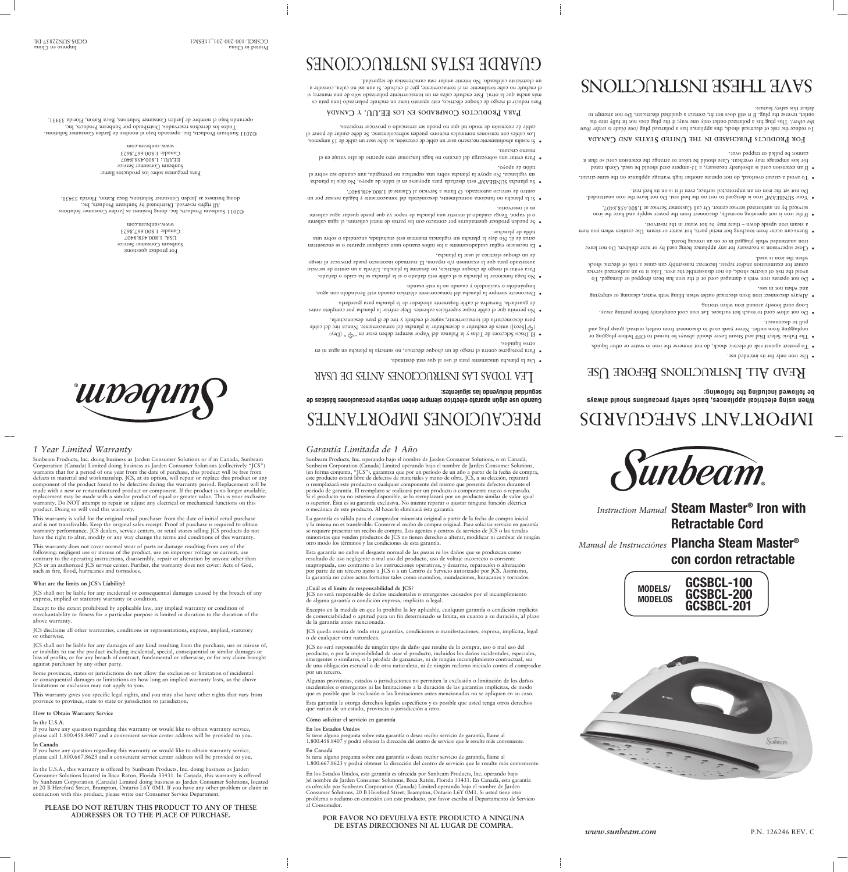*Instruction Manual* **Steam Master® Iron with Retractable Cord**



*Manual de Instrucciónes* **Plancha Steam Master®**

# **con cordon retractable**

*Garantía Limitada de 1 Año*

Sunbeam Products, Inc. operando bajo el nombre de Jarden Consumer Solutions, o en Canadá, Sunbeam Corporation (Canada) Limited operando bajo el nombre de Jarden Consumer Solutions, (en forma conjunta, "JCS"), garantiza que por un período de un año a partir de la fecha de compra, este producto estará libre de defectos de materiales y mano de obra. JCS, a su elección, reparará o reemplazará este producto o cualquier componente del mismo que presente defectos durante el período de garantía. El reemplazo se realizará por un producto o componente nuevo o reparado. Si el producto ya no estuviera disponible, se lo reemplazará por un producto similar de valor igual o superior. Ésta es su garantía exclusiva. No intente reparar o ajustar ninguna función eléctrica

o mecánica de este producto. Al hacerlo elimínará ésta garantía.

La garantía es válida para el comprador minorista original a partir de la fecha de compra inicial y la misma no es transferible. Conserve el recibo de compra original. Para solicitar servicio en garantía se requiere presentar un recibo de compra. Los agentes y centros de servicio de JCS o las tiendas minoristas que venden productos de JCS no tienen derecho a alterar, modificar ni cambiar de ningún

otro modo los términos y las condiciones de esta garantía.

**¿Cuál es el límite de responsabilidad de JCS?**

JCS no será responsable de daños incidentales o emergentes causados por el incumplimiento

de alguna garantía o condición expresa, implícita o legal.

Excepto en la medida en que lo prohíba la ley aplicable, cualquier garantía o condición implícita de comerciabilidad o aptitud para un fin determinado se limita, en cuanto a su duración, al plazo

de la garantía antes mencionada.

JCS queda exenta de toda otra garantías, condiciones o manifestaciones, expresa, implícita, legal o de cualquier otra naturaleza.

JCS no será responsable de ningún tipo de daño que resulte de la compra, uso o mal uso del producto, o por la imposibilidad de usar el producto, incluidos los daños incidentales, especiales, emergentes o similares, o la pérdida de ganancias, ni de ningún incumplimiento contractual, sea de una obligación esencial o de otra naturaleza, ni de ningún reclamo iniciado contra el comprador por un tercero.

This warranty does not cover normal wear of parts or damage resulting from any of the following: negligent use or misuse of the product, use on improper voltage or current, use contrary to the operating instructions, disassembly, repair or alteration by anyone other than

 $\bullet$  El Disco Selectora de Telas y la Palanca del Vapor siempre deben estar en "G", "Dry)  $\mathbb{C}[\mathbb{S}^{1}]$  antes de enchufar o desenchufar la plancha del tomacorriente. Nunca tire del cable ( $\mathbb{S}^{1}$ para desconectarla del tomacorriente, sujete el enchufe y tire de él para desconectarla. · No permita que el cable toque superficies calientes. Deje enfriar la plancha por completo antes

> Algunas provincias, estados o jurisdicciones no permiten la exclusión o limitación de los daños incidentales o emergentes ni las limitaciones a la duración de las garantías implícitas, de modo que es posible que la exclusión o las limitaciones antes mencionadas no se apliquen en su caso.

Esta garantía le otorga derechos legales específicos y es posible que usted tenga otros derechos que varían de un estado, provincia o jurisdicción a otro.

#### **Cómo solicitar el servicio en garantía**

#### **En los Estados Unidos**

Si tiene alguna pregunta sobre esta garantía o desea recibir servicio de garantía, llame al 1.800.458.8407 y podrá obtener la dirección del centro de servicio que le resulte más conveniente.

#### **En Canadá**

Si tiene alguna pregunta sobre esta garantía o desea recibir servicio de garantía, llame al 1.800.667.8623 y podrá obtener la dirección del centro de servicio que le resulte más conveniente.

Esta garantía no cubre el desgaste normal de las piezas ni los daños que se produzcan como resultado de uso negligente o mal uso del producto, uso de voltaje incorrecto o corriente inapropiada, uso contrario a las instrucciones operativas, y desarme, reparación o alteración por parte de un tercero ajeno a JCS o a un Centro de Servicio autorizado por JCS. Asimismo, la garantía no cubre actos fortuitos tales como incendios, inundaciones, huracanes y tornados. JCS or an authorized JCS service center. Further, the warranty does not cover: Acts of God, such as fire, flood, hurricanes and tornadoes.

> En los Estados Unidos, esta garantía es ofrecida por Sunbeam Products, Inc. operando bajo }el nombre de Jarden Consumer Solutions, Boca Ratón, Florida 33431. En Canadá, esta garantía es ofrecida por Sunbeam Corporation (Canada) Limited operando bajo el nombre de Jarden Consumer Solutions, 20 B Hereford Street, Brampton, Ontario L6Y 0M1. Si usted tiene otro problema o reclamo en conexión con este producto, por favor escriba al Departamento de Servicio al Consumidor.

#### **POR FAVOR NO DEVUELVA ESTE PRODUCTO A NINGUNA DE ESTAS DIRECCIONES NI AL LUGAR DE COMPRA.**



*www.sunbeam.com* P.N. 126246 REV. C

*1 Year Limited Warranty*

Sunbeam Products, Inc. doing business as Jarden Consumer Solutions or if in Canada, Sunbeam Corporation (Canada) Limited doing business as Jarden Consumer Solutions (collectively "JCS") warrants that for a period of one year from the date of purchase, this product will be free from defects in material and workmanship. JCS, at its option, will repair or replace this product or any component of the product found to be defective during the warranty period. Replacement will be made with a new or remanufactured product or component. If the product is no longer available, replacement may be made with a similar product of equal or greater value. This is your exclusive warranty. Do NOT attempt to repair or adjust any electrical or mechanical functions on this

- 
- $\bullet$  To protect against risk of electric shock, do not immerse the indi not in water or other liquids.  $\bullet$  The Fabric Select Dial and Steam Lever should always be turned on OFF before plugging or unplugging from outlet. Never yank cord to disconnect from outlet; instead, grasp plug and
- pull to disconnect. • Do not allow cord to touch hot surfaces. Let iron cool completely before putting away. Loop cord loosely around iron when storing.
- · Always disconnect iron from electrical outlet when filling with water, cleaning or emptying and when not in use.
- $\bullet$  Do not operate iron with a damaged cord or if the ion bead dropped or damaged. To avoid the risk of electric shock, do not disassemble the iron. Take it to an authorized service center for examination and/or repair. Incorrect reassembly can cause a risk of electric shock when the iron is used.
- · Close supervision is necessary for any appliance being used by or near children. Do not leave iron unattended while plugged in or on an ironing board.
- Burns can occur trom touching hot metal parts, hot water or steam. Use caution when you turn a steam iron upside down – there may be hot water in the reservoir.
- if the iron is not operating normally, disconnect from the power tequely and have the iron serviced by an authorized service center. Or call Customer Service at 1.800.458.8407.
- $\bullet$  Your SUNBEAM® iron is designed to rest on the heel rest. Do not leave the iron unattended. Do not set the iron on an unprotected surface, even if it is on its heel rest.
- out on the same circuit overload, do not operate another high wattage appliance on the same circuit. The should cord is absolutely necessary, a 15-ampere cord should be used. Cords rated
- for less amperage may overheat. Care should be taken to arrange the extension cord so that it cannot be pulled or tripped over.

# **EQR** PRODUCTS PURCHASED IN THE UNITED STATES AND CANADA

product. Doing so will void this warranty.

To reduce the risk of electrical shock, this appliance has a polarized plug (one blade is wider than . This plug fits a polarized outlet only one way; if the plug does not fit fully into the *the other)* outlet, reverse the plug. If it still does not fit, contact a qualified electrician. Do not attempt to defeat this safety feature.

# SNOILDNELSNI HSHHL HAVS

**UUDƏQU** 

This warranty is valid for the original retail purchaser from the date of initial retail purchase and is not transferable. Keep the original sales receipt. Proof of purchase is required to obtain warranty performance. JCS dealers, service centers, or retail stores selling JCS products do not have the right to alter, modify or any way change the terms and conditions of this warranty.

de guardarla. Envuelva el cable flojamente alrededor de la plancha para guardarla. • Desconecte siempre la plancha del tomacorriente eléctrico cuando esté llenándolo con agua,

# **What are the limits on JCS's Liability?**

JCS shall not be liable for any incidental or consequential damages caused by the breach of any express, implied or statutory warranty or condition.

Except to the extent prohibited by applicable law, any implied warranty or condition of

merchantability or fitness for a particular purpose is limited in duration to the duration of the

above warranty.

JCS disclaims all other warranties, conditions or representations, express, implied, statutory or otherwise.

JCS shall not be liable for any damages of any kind resulting from the purchase, use or misuse of, or inability to use the product including incidental, special, consequential or similar damages or loss of profits, or for any breach of contract, fundamental or otherwise, or for any claim brought against purchaser by any other party.

For product questions: Sunbeam Consumer Service USA: 1.800.458.8407 Canada: 1.800.667.8623 ww.sunbeam.com

Some provinces, states or jurisdictions do not allow the exclusion or limitation of incidental or consequential damages or limitations on how long an implied warranty lasts, so the above limitations or exclusion may not apply to you.

Para preguntas sobre los productos llame: anipeam Counsumer pervice  $E\llap/{\sim}1.800.458.8407$ Canadá: 1.800.667.8623 ww.sunbeam.com

This warranty gives you specific legal rights, and you may also have other rights that vary from province to province, state to state or jurisdiction to jurisdiction.

Impreso en China printed in China Printed in China Printed in China Printed in China Printed in China Printed in China Printed in China Printed in China Printed in China Printed in China Printed in China Printed in China P GCDS-SUN22857-DL GCSBCL-100-200-201\_11ESM1

#### **How to Obtain Warranty Service**

#### **In the U.S.A.**

If you have any question regarding this warranty or would like to obtain warranty service, please call 1.800.458.8407 and a convenient service center address will be provided to you.

#### **In Canada**

If you have any question regarding this warranty or would like to obtain warranty service, please call 1.800.667.8623 and a convenient service center address will be provided to you.

In the U.S.A., this warranty is offered by Sunbeam Products, Inc. doing business as Jarden Consumer Solutions located in Boca Raton, Florida 33431. In Canada, this warranty is offered by Sunbeam Corporation (Canada) Limited doing business as Jarden Consumer Solutions, located at 20 B Hereford Street, Brampton, Ontario L6Y 0M1. If you have any other problem or claim in connection with this product, please write our Consumer Service Department.

#### **PLEASE DO NOT RETURN THIS PRODUCT TO ANY OF THESE ADDRESSES OR TO THE PLACE OF PURCHASE.**

# IMPORTANT SAFEGUARDS

**When using electrical appliances, basic safety precautions should always be followed including the following:**

# $\epsilon$  UEV D Se iron only for its intended use.<br>HERE I MONICALLONG RELOBE  $\bigcap$  DERECTER  $\bigcap$

PRECAUCIONES IMPORTANTES

**Cuando use algún aparato eléctrico siempre deben seguirse precauciones básicas de** 

TEV LODYS TYS INSLIKACCIONES VALES DE ASYK

· Para protegerse contra el riesgo de un choque eléctrico, no sumerja la plancha en agua ni en

**seguridad incluyendo las siguientes:**

otros líquidos.

 $\bullet$  Use la plancha únicamente para el uso al que está destinada.

- limpiándolo o vaciándolo y cuando no la esté usando.
- o haga funcionar la plancha is el cable está dañado o si la plancha se ha caído o dañado. Para evitar el riesgo de choque eléctrico, no desarme la plancha. Llévela a un centro de servicio autorizado para que la examinen y/o reparen. El rearmado incorrecto puede provocar el riesgo de un choque eléctrico al usar la plancha.
- e Es necesario vigilar cuidadosamente a los niños cuando usen cualquier aparato o se encuentren cerca de él. No deje la plancha sin vigilancia mientras esté enchufada, encendida o sobre una tabla de planchar.
- $\bullet$  Se pueden producir quemaduras por contacto con las partes de metal calientes, el agua caliente o el vapor. Tenga cuidado al invertir una plancha de vapor ya que puede quedar agua caliente en el reservorio.
- · Si la plancha no funciona normalmente, desconéctela del tomacorriente y hágala revisar por un centro de servicio autorizado. O llame a Servicio al Cliente al 1.800.458.8407.
- SUNBEAM plancha Su • ® está diseñada para apoyarse en el talón de apoyo. No deje la plancha sin vigilancia. No apoye la plancha sobre una superficie no protegida, aun cuando sea sobre el
- talón de apoyo.  $\bullet$  Para evitar una sobrecarga del circuito no haga funcionar otro aparato de alto vataje en el mismo circuito.
- Si resulta absolutamente necesario usar un cable de extensión, se debe usar un cable de 15 amperios. • Los cables con tensiones nominales menores pueden sobrecolentarse. Se debe cuidar de poner el

cable de extensión de modo tal que no pueda ser arrancado o provocar tropiezos.

**anadá C y. UU . EE los en rados p om C roductos P ara P**

Para reducir el riesgo de choque eléctrico, este aparato tiene un enchufe polarizado (una pata es más ancha que la otra). Este enchufe calza en un tomacorriente polarizado sólo de una manera; si el enchufe no cabe totalmente en el tomacorriente, gire el enchufe. Si aun así no calza, consulte a un electricista calificado. No intente anular esta característica de seguridad.

# GUARDE ESTAS INSTRUCCIONES

©2011 Sunbeam Products, Inc. doing business as Jarden Consumer Solutions. All rights reserved. Distributed by Sunbeam Products, Inc. doing business as Jarden Consumer Solutions, Boca Raton, Florida 33431.

©2011 Sunbeam Products, Inc. operando bajo el nombre de Jarden Consumer Solutions. Todos los derechos reservados. Distribuido por Sunbeam Products, Inc. operando bajo el nombre de Jarden Consumer Solutions, Boca Raton, Florida 33431.

# **MODELS/ MODELOS GCSBCL-100 GCSBCL-200 GCSBCL-201**